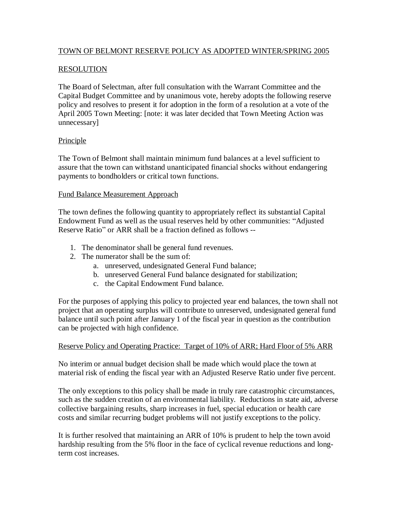# TOWN OF BELMONT RESERVE POLICY AS ADOPTED WINTER/SPRING 2005

## RESOLUTION

The Board of Selectman, after full consultation with the Warrant Committee and the Capital Budget Committee and by unanimous vote, hereby adopts the following reserve policy and resolves to present it for adoption in the form of a resolution at a vote of the April 2005 Town Meeting: [note: it was later decided that Town Meeting Action was unnecessary]

### Principle

The Town of Belmont shall maintain minimum fund balances at a level sufficient to assure that the town can withstand unanticipated financial shocks without endangering payments to bondholders or critical town functions.

### Fund Balance Measurement Approach

The town defines the following quantity to appropriately reflect its substantial Capital Endowment Fund as well as the usual reserves held by other communities: "Adjusted Reserve Ratio" or ARR shall be a fraction defined as follows --

- 1. The denominator shall be general fund revenues.
- 2. The numerator shall be the sum of:
	- a. unreserved, undesignated General Fund balance;
	- b. unreserved General Fund balance designated for stabilization;
	- c. the Capital Endowment Fund balance.

For the purposes of applying this policy to projected year end balances, the town shall not project that an operating surplus will contribute to unreserved, undesignated general fund balance until such point after January 1 of the fiscal year in question as the contribution can be projected with high confidence.

### Reserve Policy and Operating Practice: Target of 10% of ARR; Hard Floor of 5% ARR

No interim or annual budget decision shall be made which would place the town at material risk of ending the fiscal year with an Adjusted Reserve Ratio under five percent.

The only exceptions to this policy shall be made in truly rare catastrophic circumstances, such as the sudden creation of an environmental liability. Reductions in state aid, adverse collective bargaining results, sharp increases in fuel, special education or health care costs and similar recurring budget problems will not justify exceptions to the policy.

It is further resolved that maintaining an ARR of 10% is prudent to help the town avoid hardship resulting from the 5% floor in the face of cyclical revenue reductions and longterm cost increases.